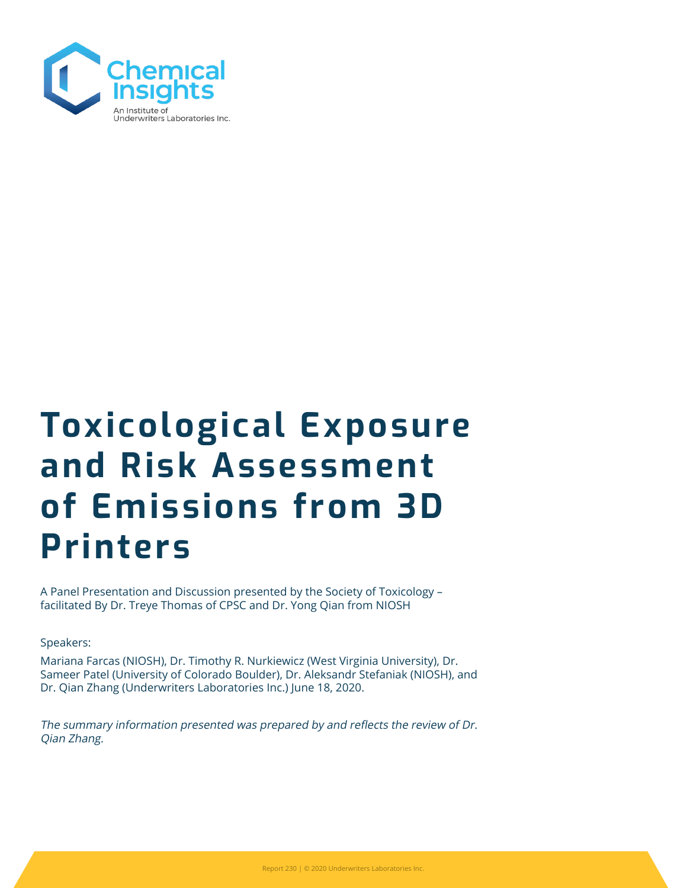

# Toxicological Exposure and Risk Assessment of Emissions from 3D Printers

A Panel Presentation and Discussion presented by the Society of Toxicology – facilitated By Dr. Treye Thomas of CPSC and Dr. Yong Qian from NIOSH

Speakers:

Mariana Farcas (NIOSH), Dr. Timothy R. Nurkiewicz (West Virginia University), Dr. Sameer Patel (University of Colorado Boulder), Dr. Aleksandr Stefaniak (NIOSH), and Dr. Qian Zhang (Underwriters Laboratories Inc.) June 18, 2020.

The summary information presented was prepared by and reflects the review of Dr. Qian Zhang.